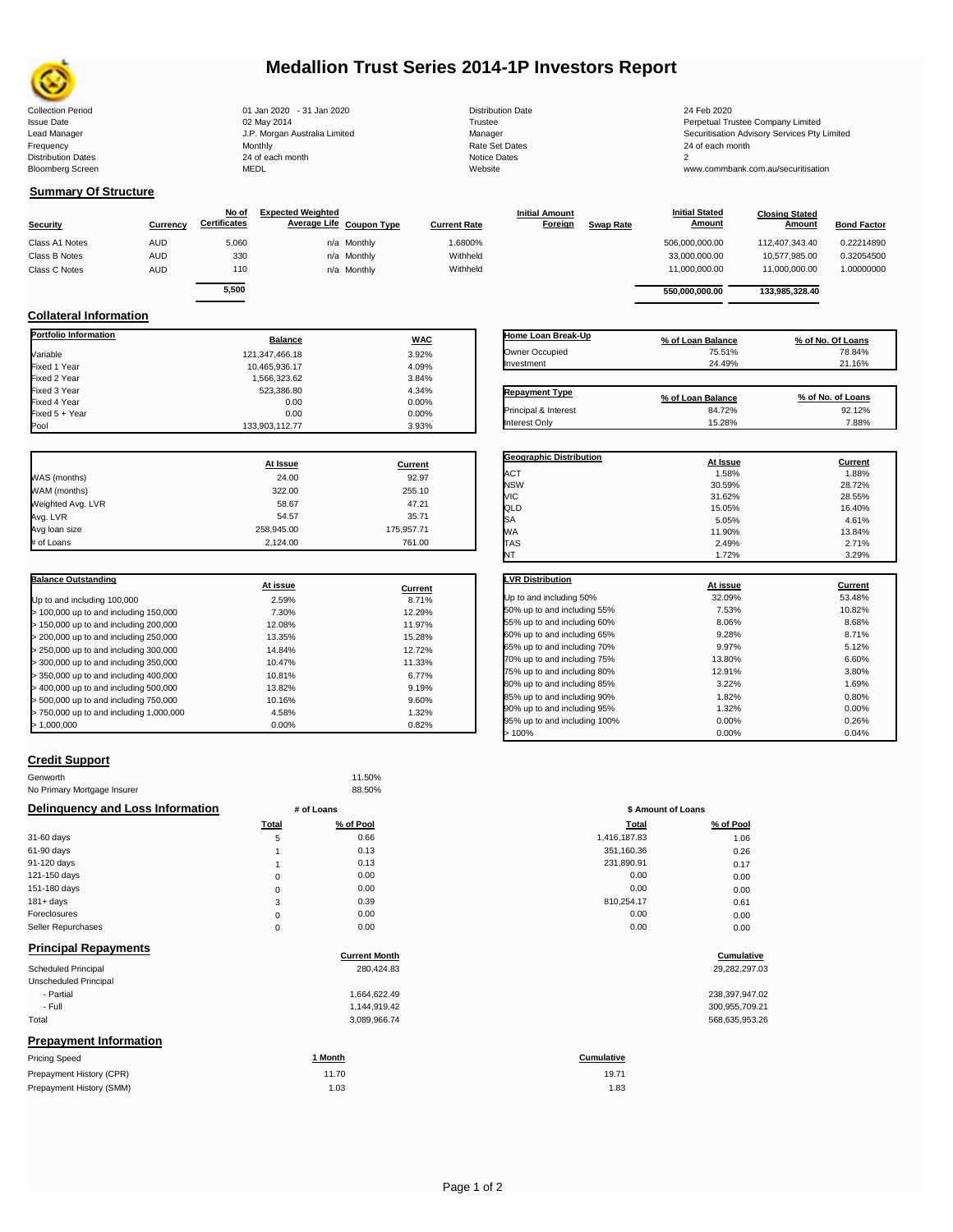

# **Medallion Trust Series 2014-1P Investors Report**

Issue Date Manager Manager (In the Ompany Limited Trustee Company Limited Date of Manager Securitisation Advisory Services Pty Limited Lead Manager Securitisation Advisory Services Pty Limited Lead Manager Securitisation A

## **Summary Of Structure**

| <b>Security</b> | Currencv   | No of<br><b>Certificates</b> | <b>Expected Weighted</b><br>Average Life Coupon Type |             | <b>Current Rate</b> | <b>Initial Amount</b><br>Foreign | <b>Swap Rate</b> | <b>Initial Stated</b><br><b>Amount</b> | <b>Closing Stated</b><br>Amount | <b>Bond Factor</b> |
|-----------------|------------|------------------------------|------------------------------------------------------|-------------|---------------------|----------------------------------|------------------|----------------------------------------|---------------------------------|--------------------|
| Class A1 Notes  | <b>AUD</b> | 5,060                        |                                                      | n/a Monthly | 1.6800%             |                                  |                  | 506.000.000.00                         | 112.407.343.40                  | 0.22214890         |
| Class B Notes   | <b>AUD</b> | 330                          |                                                      | n/a Monthly | Withheld            |                                  |                  | 33.000.000.00                          | 10.577.985.00                   | 0.32054500         |
| Class C Notes   | <b>AUD</b> | 110                          |                                                      | n/a Monthly | Withheld            |                                  |                  | 11.000.000.00                          | 11.000.000.00                   | 1.00000000         |
|                 |            | 5,500                        |                                                      |             |                     |                                  |                  | 550.000.000.00                         | 133.985.328.40                  |                    |

## **Collateral Information**

| <b>Portfolio Information</b> | <b>Balance</b> | <b>WAC</b>     |
|------------------------------|----------------|----------------|
| Variable                     | 121,347,466.18 | 3.92%          |
| Fixed 1 Year                 | 10,465,936.17  | 4.09%          |
| Fixed 2 Year                 | 1,566,323.62   | 3.84%          |
| Fixed 3 Year                 | 523,386.80     | 4.34%          |
| Fixed 4 Year                 | 0.00           | 0.00%          |
| Fixed 5 + Year               | 0.00           | 0.00%          |
| Pool                         | 133,903,112.77 | 3.93%          |
|                              | At Issue       | <b>Current</b> |
| WAS (months)                 | 24.00          | 92.97          |
| WAM (months)                 | 322.00         | 255.10         |
| Weighted Avg. LVR            | 58.67          | 47.21          |
| Avg. LVR                     | 54.57          | 35.71          |
| Avg loan size                | 258,945.00     | 175,957.71     |
| # of Loans                   | 2,124.00       | 761.00         |

| <b>Balance Outstanding</b>              |          |         |
|-----------------------------------------|----------|---------|
|                                         | At issue | Current |
| Up to and including 100,000             | 2.59%    | 8.71%   |
| $>$ 100,000 up to and including 150,000 | 7.30%    | 12.29%  |
| $>$ 150,000 up to and including 200,000 | 12.08%   | 11.97%  |
| > 200,000 up to and including 250,000   | 13.35%   | 15.28%  |
| > 250,000 up to and including 300,000   | 14.84%   | 12.72%  |
| > 300,000 up to and including 350,000   | 10.47%   | 11.33%  |
| $>$ 350,000 up to and including 400,000 | 10.81%   | 6.77%   |
| > 400,000 up to and including 500,000   | 13.82%   | 9.19%   |
| > 500,000 up to and including 750,000   | 10.16%   | 9.60%   |
| > 750,000 up to and including 1,000,000 | 4.58%    | 1.32%   |
| >1.000.000                              | 0.00%    | 0.82%   |

| Home Loan Break-Up    | % of Loan Balance | % of No. Of Loans |
|-----------------------|-------------------|-------------------|
| Owner Occupied        | 75.51%            | 78.84%            |
| Investment            | 24.49%            | 21.16%            |
|                       |                   |                   |
| <b>Repayment Type</b> | % of Loan Balance | % of No. of Loans |
| Principal & Interest  | 84.72%            | 92.12%            |

| <b>Geographic Distribution</b> | At Issue | <b>Current</b> |
|--------------------------------|----------|----------------|
| ACT                            | 1.58%    | 1.88%          |
| <b>NSW</b>                     | 30.59%   | 28.72%         |
| VIC                            | 31.62%   | 28.55%         |
| QLD                            | 15.05%   | 16.40%         |
| <b>SA</b>                      | 5.05%    | 4.61%          |
| WA                             | 11.90%   | 13.84%         |
| TAS                            | 2.49%    | 2.71%          |
| NT                             | 1.72%    | 3.29%          |

| <b>LVR Distribution</b>      | At issue | Current |
|------------------------------|----------|---------|
| Up to and including 50%      | 32.09%   | 53.48%  |
| 50% up to and including 55%  | 7.53%    | 10.82%  |
| 55% up to and including 60%  | 8.06%    | 8.68%   |
| 60% up to and including 65%  | 9.28%    | 8.71%   |
| 65% up to and including 70%  | 9.97%    | 5.12%   |
| 70% up to and including 75%  | 13.80%   | 6.60%   |
| 75% up to and including 80%  | 12.91%   | 3.80%   |
| 80% up to and including 85%  | 3.22%    | 1.69%   |
| 85% up to and including 90%  | 1.82%    | 0.80%   |
| 90% up to and including 95%  | 1.32%    | 0.00%   |
| 95% up to and including 100% | 0.00%    | 0.26%   |
| >100%                        | 0.00%    | 0.04%   |

#### **Credit Support**

| Genworth                         |              | 11.50%                       |                    |                |
|----------------------------------|--------------|------------------------------|--------------------|----------------|
| No Primary Mortgage Insurer      |              | 88.50%                       |                    |                |
| Delinquency and Loss Information |              | # of Loans                   | \$ Amount of Loans |                |
|                                  | <b>Total</b> | % of Pool                    | <b>Total</b>       | % of Pool      |
| 31-60 days                       | 5            | 0.66                         | 1,416,187.83       | 1.06           |
| $61-90$ days                     |              | 0.13                         | 351,160.36         | 0.26           |
| 91-120 days                      |              | 0.13                         | 231,890.91         | 0.17           |
| 121-150 days                     | 0            | 0.00                         | 0.00               | 0.00           |
| 151-180 days                     | 0            | 0.00                         | 0.00               | 0.00           |
| $181 + days$                     | 3            | 0.39                         | 810,254.17         | 0.61           |
| Foreclosures                     | 0            | 0.00                         | 0.00               | 0.00           |
| Seller Repurchases               | $\mathbf 0$  | 0.00                         | 0.00               | 0.00           |
| <b>Principal Repayments</b>      |              |                              |                    |                |
|                                  |              | <b>Current Month</b>         |                    | Cumulative     |
| Scheduled Principal              |              | 280,424.83                   |                    | 29,282,297.03  |
| Unscheduled Principal            |              |                              |                    |                |
| - Partial<br>- Full              |              | 1,664,622.49<br>1,144,919.42 |                    | 238,397,947.02 |
|                                  |              |                              |                    | 300,955,709.21 |
| Total                            |              | 3,089,966.74                 |                    | 568,635,953.26 |
| <b>Prepayment Information</b>    |              |                              |                    |                |
| <b>Pricing Speed</b>             |              | 1 Month                      | Cumulative         |                |
| Prepayment History (CPR)         |              | 11.70                        | 19.71              |                |
| Prepayment History (SMM)         |              | 1.03                         | 1.83               |                |

|                      | \$ Amount of Loans |               |  |  |
|----------------------|--------------------|---------------|--|--|
| of Pool              | Total              | % of Pool     |  |  |
| 0.66                 | 1,416,187.83       | 1.06          |  |  |
| 0.13                 | 351,160.36         | 0.26          |  |  |
| 0.13                 | 231,890.91         | 0.17          |  |  |
| 0.00                 | 0.00               | 0.00          |  |  |
| 0.00                 | 0.00               | 0.00          |  |  |
| 0.39                 | 810,254.17         | 0.61          |  |  |
| 0.00                 | 0.00               | 0.00          |  |  |
| 0.00                 | 0.00               | 0.00          |  |  |
| <b>Current Month</b> |                    | Cumulative    |  |  |
| 280,424.83           |                    | 29,282,297.0  |  |  |
| 1,664,622.49         |                    | 238,397,947.0 |  |  |
| 1,144,919.42         |                    | 300,955,709.2 |  |  |
| 3,089,966.74         |                    | 568,635,953.2 |  |  |

| <u>onth</u> | Cumulative |
|-------------|------------|
| 1.70        | 19.71      |
| 1.03        | 1.83       |